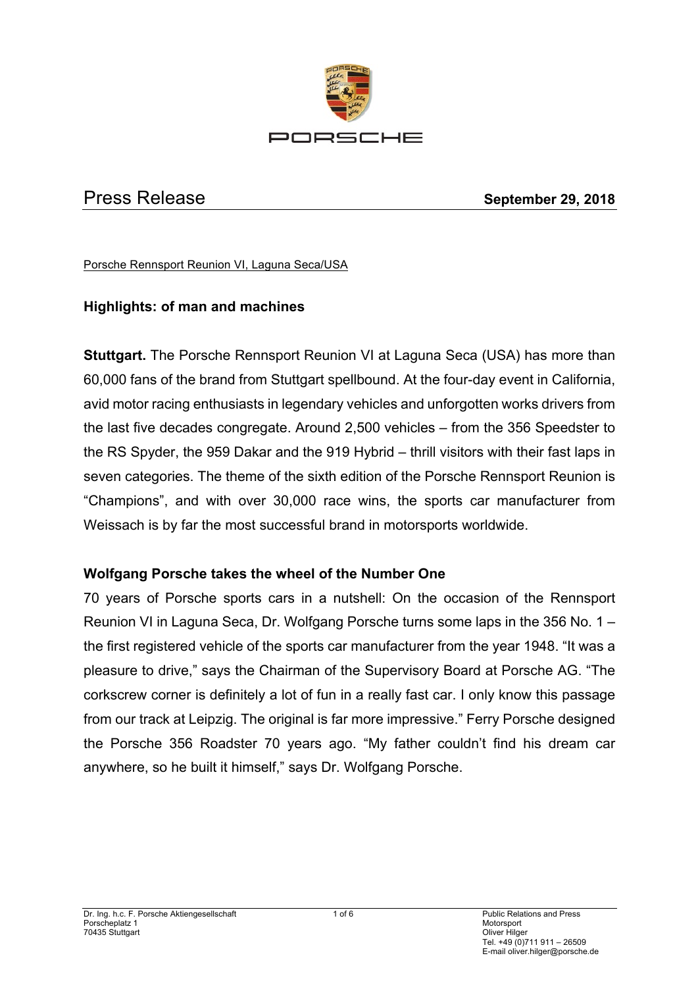

Press Release **September 29, 2018**

Porsche Rennsport Reunion VI, Laguna Seca/USA

# **Highlights: of man and machines**

**Stuttgart.** The Porsche Rennsport Reunion VI at Laguna Seca (USA) has more than 60,000 fans of the brand from Stuttgart spellbound. At the four-day event in California, avid motor racing enthusiasts in legendary vehicles and unforgotten works drivers from the last five decades congregate. Around 2,500 vehicles – from the 356 Speedster to the RS Spyder, the 959 Dakar and the 919 Hybrid – thrill visitors with their fast laps in seven categories. The theme of the sixth edition of the Porsche Rennsport Reunion is "Champions", and with over 30,000 race wins, the sports car manufacturer from Weissach is by far the most successful brand in motorsports worldwide.

## **Wolfgang Porsche takes the wheel of the Number One**

70 years of Porsche sports cars in a nutshell: On the occasion of the Rennsport Reunion VI in Laguna Seca, Dr. Wolfgang Porsche turns some laps in the 356 No. 1 – the first registered vehicle of the sports car manufacturer from the year 1948. "It was a pleasure to drive," says the Chairman of the Supervisory Board at Porsche AG. "The corkscrew corner is definitely a lot of fun in a really fast car. I only know this passage from our track at Leipzig. The original is far more impressive." Ferry Porsche designed the Porsche 356 Roadster 70 years ago. "My father couldn't find his dream car anywhere, so he built it himself," says Dr. Wolfgang Porsche.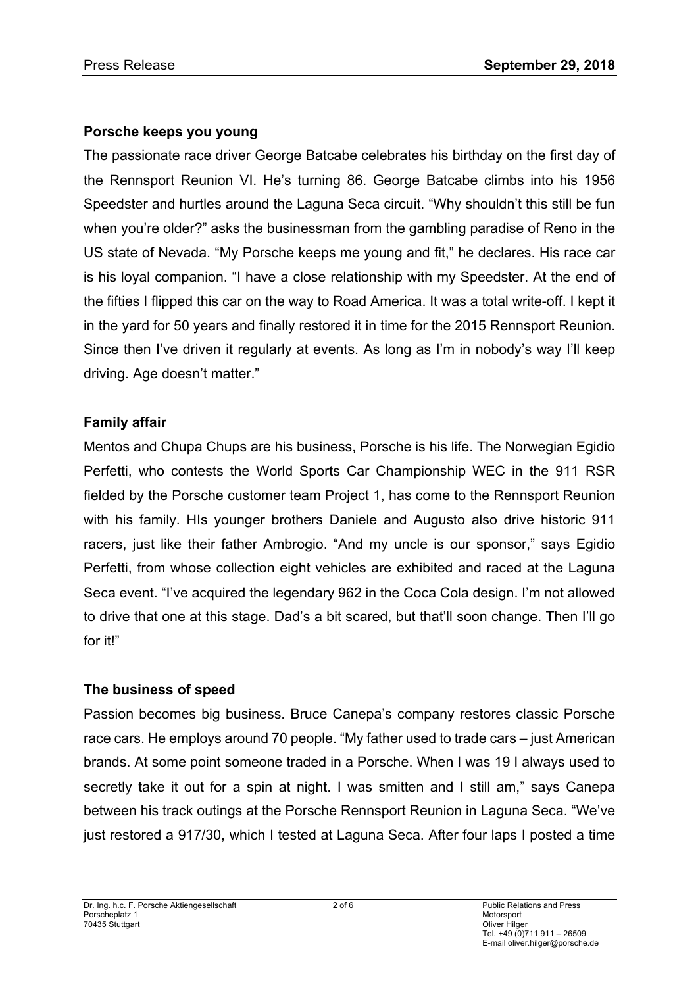## **Porsche keeps you young**

The passionate race driver George Batcabe celebrates his birthday on the first day of the Rennsport Reunion VI. He's turning 86. George Batcabe climbs into his 1956 Speedster and hurtles around the Laguna Seca circuit. "Why shouldn't this still be fun when you're older?" asks the businessman from the gambling paradise of Reno in the US state of Nevada. "My Porsche keeps me young and fit," he declares. His race car is his loyal companion. "I have a close relationship with my Speedster. At the end of the fifties I flipped this car on the way to Road America. It was a total write-off. I kept it in the yard for 50 years and finally restored it in time for the 2015 Rennsport Reunion. Since then I've driven it regularly at events. As long as I'm in nobody's way I'll keep driving. Age doesn't matter."

## **Family affair**

Mentos and Chupa Chups are his business, Porsche is his life. The Norwegian Egidio Perfetti, who contests the World Sports Car Championship WEC in the 911 RSR fielded by the Porsche customer team Project 1, has come to the Rennsport Reunion with his family. HIs younger brothers Daniele and Augusto also drive historic 911 racers, just like their father Ambrogio. "And my uncle is our sponsor," says Egidio Perfetti, from whose collection eight vehicles are exhibited and raced at the Laguna Seca event. "I've acquired the legendary 962 in the Coca Cola design. I'm not allowed to drive that one at this stage. Dad's a bit scared, but that'll soon change. Then I'll go for it!"

## **The business of speed**

Passion becomes big business. Bruce Canepa's company restores classic Porsche race cars. He employs around 70 people. "My father used to trade cars – just American brands. At some point someone traded in a Porsche. When I was 19 I always used to secretly take it out for a spin at night. I was smitten and I still am," says Canepa between his track outings at the Porsche Rennsport Reunion in Laguna Seca. "We've just restored a 917/30, which I tested at Laguna Seca. After four laps I posted a time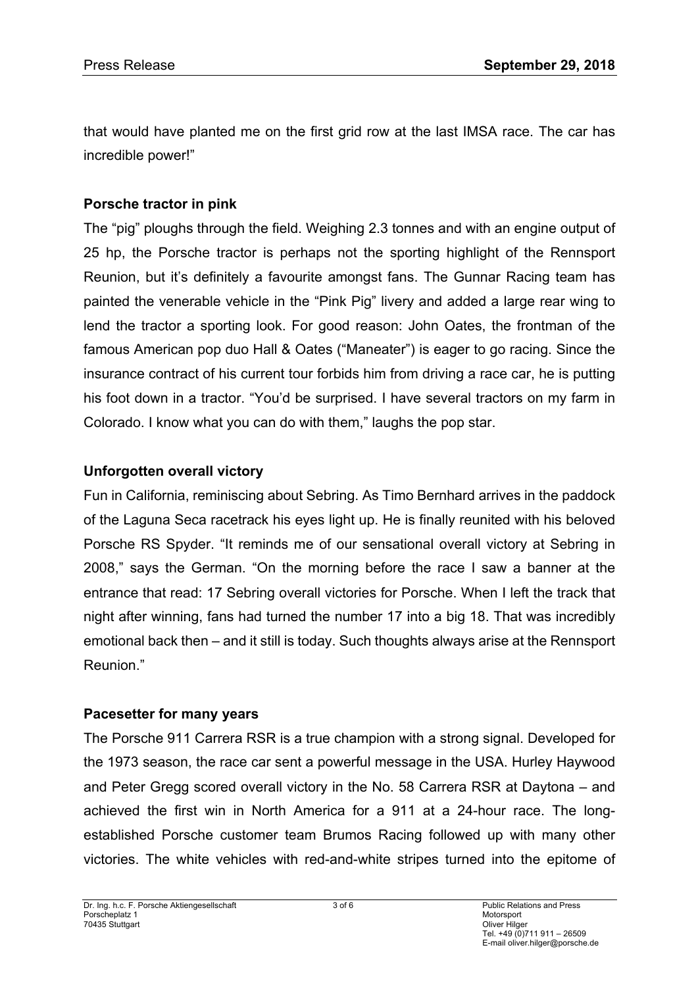that would have planted me on the first grid row at the last IMSA race. The car has incredible power!"

# **Porsche tractor in pink**

The "pig" ploughs through the field. Weighing 2.3 tonnes and with an engine output of 25 hp, the Porsche tractor is perhaps not the sporting highlight of the Rennsport Reunion, but it's definitely a favourite amongst fans. The Gunnar Racing team has painted the venerable vehicle in the "Pink Pig" livery and added a large rear wing to lend the tractor a sporting look. For good reason: John Oates, the frontman of the famous American pop duo Hall & Oates ("Maneater") is eager to go racing. Since the insurance contract of his current tour forbids him from driving a race car, he is putting his foot down in a tractor. "You'd be surprised. I have several tractors on my farm in Colorado. I know what you can do with them," laughs the pop star.

## **Unforgotten overall victory**

Fun in California, reminiscing about Sebring. As Timo Bernhard arrives in the paddock of the Laguna Seca racetrack his eyes light up. He is finally reunited with his beloved Porsche RS Spyder. "It reminds me of our sensational overall victory at Sebring in 2008," says the German. "On the morning before the race I saw a banner at the entrance that read: 17 Sebring overall victories for Porsche. When I left the track that night after winning, fans had turned the number 17 into a big 18. That was incredibly emotional back then – and it still is today. Such thoughts always arise at the Rennsport Reunion."

## **Pacesetter for many years**

The Porsche 911 Carrera RSR is a true champion with a strong signal. Developed for the 1973 season, the race car sent a powerful message in the USA. Hurley Haywood and Peter Gregg scored overall victory in the No. 58 Carrera RSR at Daytona – and achieved the first win in North America for a 911 at a 24-hour race. The longestablished Porsche customer team Brumos Racing followed up with many other victories. The white vehicles with red-and-white stripes turned into the epitome of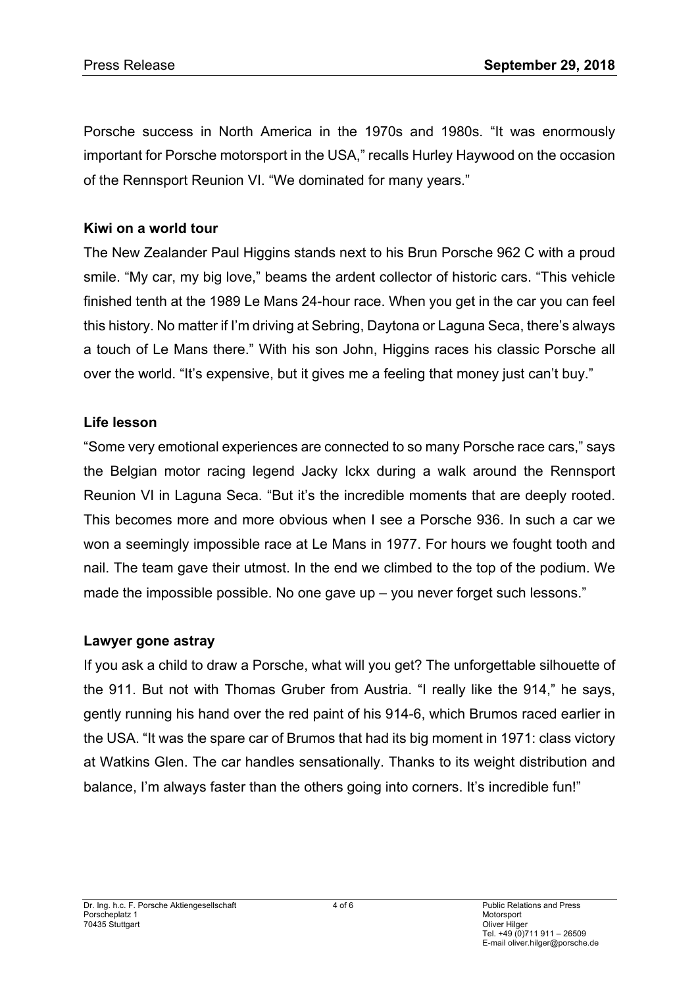Porsche success in North America in the 1970s and 1980s. "It was enormously important for Porsche motorsport in the USA," recalls Hurley Haywood on the occasion of the Rennsport Reunion VI. "We dominated for many years."

## **Kiwi on a world tour**

The New Zealander Paul Higgins stands next to his Brun Porsche 962 C with a proud smile. "My car, my big love," beams the ardent collector of historic cars. "This vehicle finished tenth at the 1989 Le Mans 24-hour race. When you get in the car you can feel this history. No matter if I'm driving at Sebring, Daytona or Laguna Seca, there's always a touch of Le Mans there." With his son John, Higgins races his classic Porsche all over the world. "It's expensive, but it gives me a feeling that money just can't buy."

# **Life lesson**

"Some very emotional experiences are connected to so many Porsche race cars," says the Belgian motor racing legend Jacky Ickx during a walk around the Rennsport Reunion VI in Laguna Seca. "But it's the incredible moments that are deeply rooted. This becomes more and more obvious when I see a Porsche 936. In such a car we won a seemingly impossible race at Le Mans in 1977. For hours we fought tooth and nail. The team gave their utmost. In the end we climbed to the top of the podium. We made the impossible possible. No one gave up – you never forget such lessons."

## **Lawyer gone astray**

If you ask a child to draw a Porsche, what will you get? The unforgettable silhouette of the 911. But not with Thomas Gruber from Austria. "I really like the 914," he says, gently running his hand over the red paint of his 914-6, which Brumos raced earlier in the USA. "It was the spare car of Brumos that had its big moment in 1971: class victory at Watkins Glen. The car handles sensationally. Thanks to its weight distribution and balance, I'm always faster than the others going into corners. It's incredible fun!"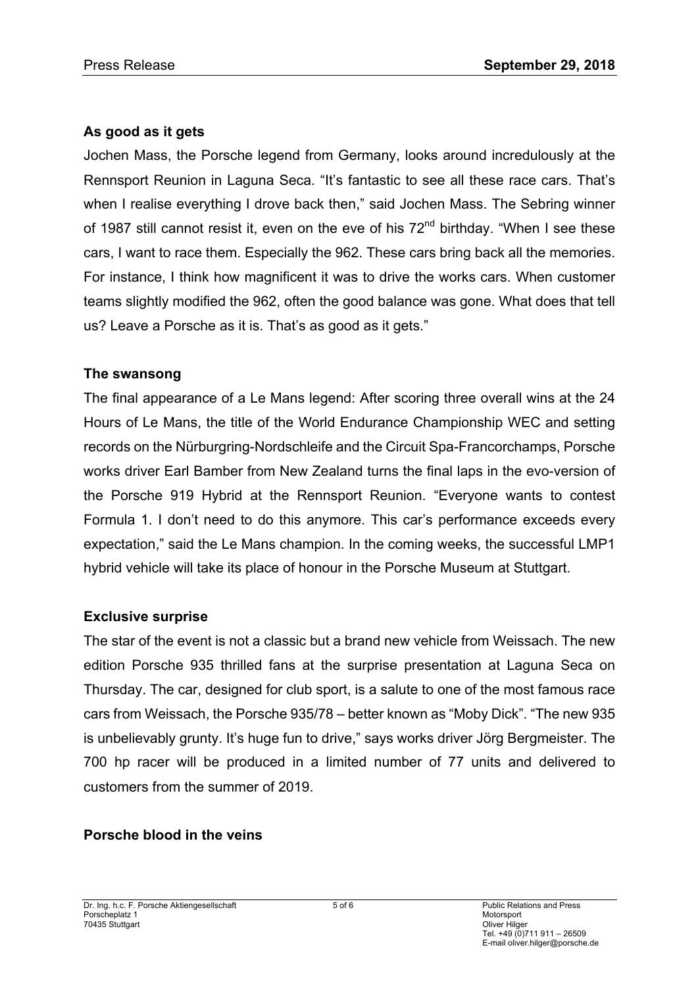## **As good as it gets**

Jochen Mass, the Porsche legend from Germany, looks around incredulously at the Rennsport Reunion in Laguna Seca. "It's fantastic to see all these race cars. That's when I realise everything I drove back then," said Jochen Mass. The Sebring winner of 1987 still cannot resist it, even on the eve of his 72<sup>nd</sup> birthday. "When I see these cars, I want to race them. Especially the 962. These cars bring back all the memories. For instance, I think how magnificent it was to drive the works cars. When customer teams slightly modified the 962, often the good balance was gone. What does that tell us? Leave a Porsche as it is. That's as good as it gets."

## **The swansong**

The final appearance of a Le Mans legend: After scoring three overall wins at the 24 Hours of Le Mans, the title of the World Endurance Championship WEC and setting records on the Nürburgring-Nordschleife and the Circuit Spa-Francorchamps, Porsche works driver Earl Bamber from New Zealand turns the final laps in the evo-version of the Porsche 919 Hybrid at the Rennsport Reunion. "Everyone wants to contest Formula 1. I don't need to do this anymore. This car's performance exceeds every expectation," said the Le Mans champion. In the coming weeks, the successful LMP1 hybrid vehicle will take its place of honour in the Porsche Museum at Stuttgart.

## **Exclusive surprise**

The star of the event is not a classic but a brand new vehicle from Weissach. The new edition Porsche 935 thrilled fans at the surprise presentation at Laguna Seca on Thursday. The car, designed for club sport, is a salute to one of the most famous race cars from Weissach, the Porsche 935/78 – better known as "Moby Dick". "The new 935 is unbelievably grunty. It's huge fun to drive," says works driver Jörg Bergmeister. The 700 hp racer will be produced in a limited number of 77 units and delivered to customers from the summer of 2019.

# **Porsche blood in the veins**